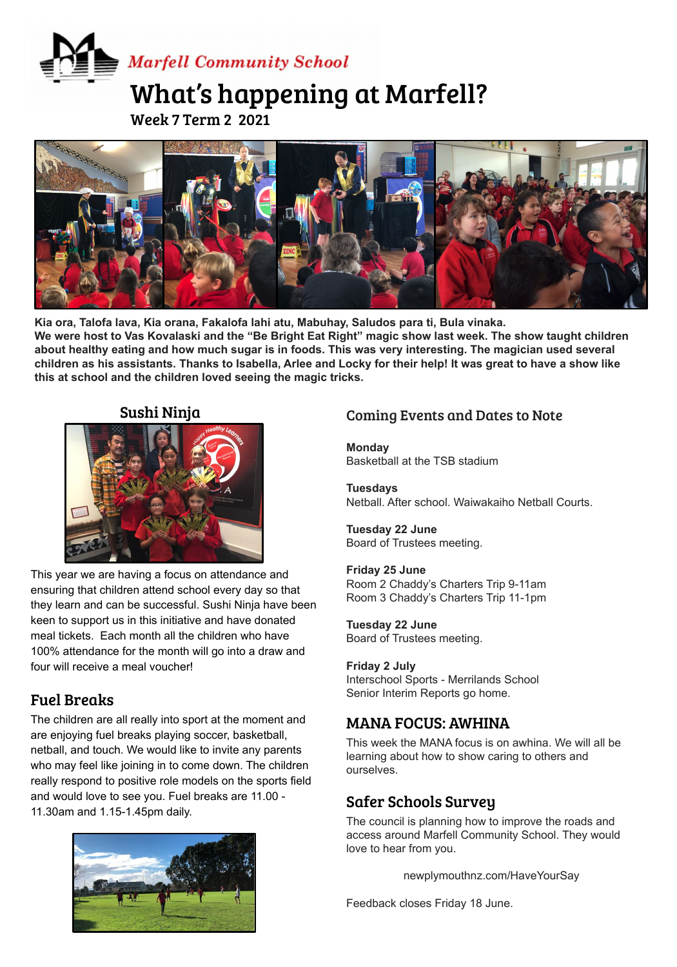# **Marfell Community School** What's happening at Marfell?

Week 7 Term 2 2021



**Kia ora, Talofa lava, Kia orana, Fakalofa lahi atu, Mabuhay, Saludos para ti, Bula vinaka. We were host to Vas Kovalaski and the "Be Bright Eat Right" magic show last week. The show taught children about healthy eating and how much sugar is in foods. This was very interesting. The magician used several children as his assistants. Thanks to Isabella, Arlee and Locky for their help! It was great to have a show like this at school and the children loved seeing the magic tricks.** 

#### Sushi Ninja



This year we are having a focus on attendance and ensuring that children attend school every day so that they learn and can be successful. Sushi Ninja have been keen to support us in this initiative and have donated meal tickets. Each month all the children who have 100% attendance for the month will go into a draw and four will receive a meal voucher!

#### Fuel Breaks

The children are all really into sport at the moment and are enjoying fuel breaks playing soccer, basketball, netball, and touch. We would like to invite any parents who may feel like joining in to come down. The children really respond to positive role models on the sports field and would love to see you. Fuel breaks are 11.00 - 11.30am and 1.15-1.45pm daily.



# Coming Events and Dates to Note

**Monday** Basketball at the TSB stadium

**Tuesdays**  Netball. After school. Waiwakaiho Netball Courts.

#### **Tuesday 22 June** Board of Trustees meeting.

#### **Friday 25 June**

Room 2 Chaddy's Charters Trip 9-11am Room 3 Chaddy's Charters Trip 11-1pm

#### **Tuesday 22 June**

Board of Trustees meeting.

#### **Friday 2 July**

Interschool Sports - Merrilands School Senior Interim Reports go home.

#### MANA FOCUS: AWHINA

This week the MANA focus is on awhina. We will all be learning about how to show caring to others and ourselves.

#### Safer Schools Survey

The council is planning how to improve the roads and access around Marfell Community School. They would love to hear from you.

newplymouthnz.com/HaveYourSay

Feedback closes Friday 18 June.